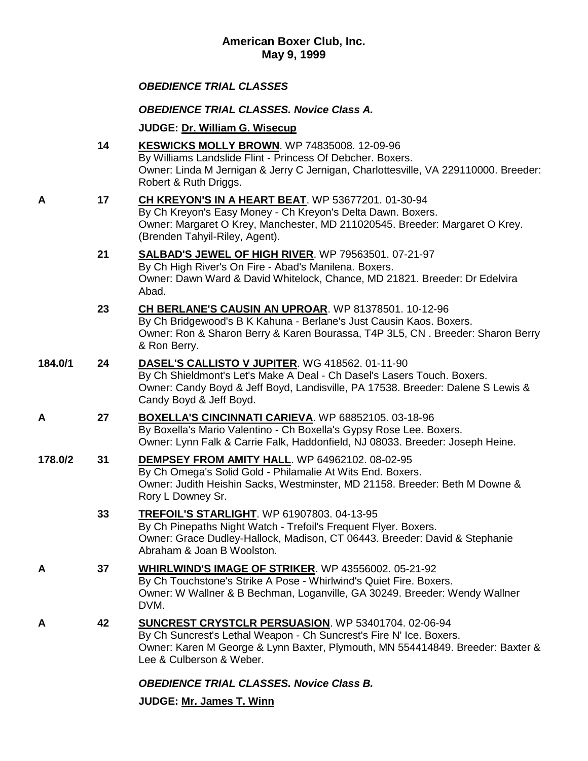# *OBEDIENCE TRIAL CLASSES*

*OBEDIENCE TRIAL CLASSES. Novice Class A.*

**JUDGE: [Dr. William G. Wisecup](http://www.infodog.com/show/judge/jdgprofile.htm?jn=3180)**

|         | 14 | <b>KESWICKS MOLLY BROWN.</b> WP 74835008. 12-09-96<br>By Williams Landslide Flint - Princess Of Debcher. Boxers.<br>Owner: Linda M Jernigan & Jerry C Jernigan, Charlottesville, VA 229110000. Breeder:<br>Robert & Ruth Driggs.                |
|---------|----|-------------------------------------------------------------------------------------------------------------------------------------------------------------------------------------------------------------------------------------------------|
| Α       | 17 | CH KREYON'S IN A HEART BEAT. WP 53677201. 01-30-94<br>By Ch Kreyon's Easy Money - Ch Kreyon's Delta Dawn. Boxers.<br>Owner: Margaret O Krey, Manchester, MD 211020545. Breeder: Margaret O Krey.<br>(Brenden Tahyil-Riley, Agent).              |
|         | 21 | SALBAD'S JEWEL OF HIGH RIVER. WP 79563501. 07-21-97<br>By Ch High River's On Fire - Abad's Manilena. Boxers.<br>Owner: Dawn Ward & David Whitelock, Chance, MD 21821. Breeder: Dr Edelvira<br>Abad.                                             |
|         | 23 | CH BERLANE'S CAUSIN AN UPROAR. WP 81378501. 10-12-96<br>By Ch Bridgewood's B K Kahuna - Berlane's Just Causin Kaos. Boxers.<br>Owner: Ron & Sharon Berry & Karen Bourassa, T4P 3L5, CN. Breeder: Sharon Berry<br>& Ron Berry.                   |
| 184.0/1 | 24 | DASEL'S CALLISTO V JUPITER. WG 418562. 01-11-90<br>By Ch Shieldmont's Let's Make A Deal - Ch Dasel's Lasers Touch. Boxers.<br>Owner: Candy Boyd & Jeff Boyd, Landisville, PA 17538. Breeder: Dalene S Lewis &<br>Candy Boyd & Jeff Boyd.        |
| A       | 27 | <b>BOXELLA'S CINCINNATI CARIEVA.</b> WP 68852105. 03-18-96<br>By Boxella's Mario Valentino - Ch Boxella's Gypsy Rose Lee. Boxers.<br>Owner: Lynn Falk & Carrie Falk, Haddonfield, NJ 08033. Breeder: Joseph Heine.                              |
| 178.0/2 | 31 | DEMPSEY FROM AMITY HALL. WP 64962102. 08-02-95<br>By Ch Omega's Solid Gold - Philamalie At Wits End. Boxers.<br>Owner: Judith Heishin Sacks, Westminster, MD 21158. Breeder: Beth M Downe &<br>Rory L Downey Sr.                                |
|         | 33 | <b>TREFOIL'S STARLIGHT. WP 61907803. 04-13-95</b><br>By Ch Pinepaths Night Watch - Trefoil's Frequent Flyer. Boxers.<br>Owner: Grace Dudley-Hallock, Madison, CT 06443. Breeder: David & Stephanie<br>Abraham & Joan B Woolston.                |
|         | 37 | <b>WHIRLWIND'S IMAGE OF STRIKER.</b> WP 43556002. 05-21-92<br>By Ch Touchstone's Strike A Pose - Whirlwind's Quiet Fire. Boxers.<br>Owner: W Wallner & B Bechman, Loganville, GA 30249. Breeder: Wendy Wallner<br>DVM.                          |
| Α       | 42 | <b>SUNCREST CRYSTCLR PERSUASION.</b> WP 53401704. 02-06-94<br>By Ch Suncrest's Lethal Weapon - Ch Suncrest's Fire N' Ice. Boxers.<br>Owner: Karen M George & Lynn Baxter, Plymouth, MN 554414849. Breeder: Baxter &<br>Lee & Culberson & Weber. |
|         |    |                                                                                                                                                                                                                                                 |

# *OBEDIENCE TRIAL CLASSES. Novice Class B.*

**JUDGE: [Mr. James T. Winn](http://www.infodog.com/show/judge/jdgprofile.htm?jn=2497)**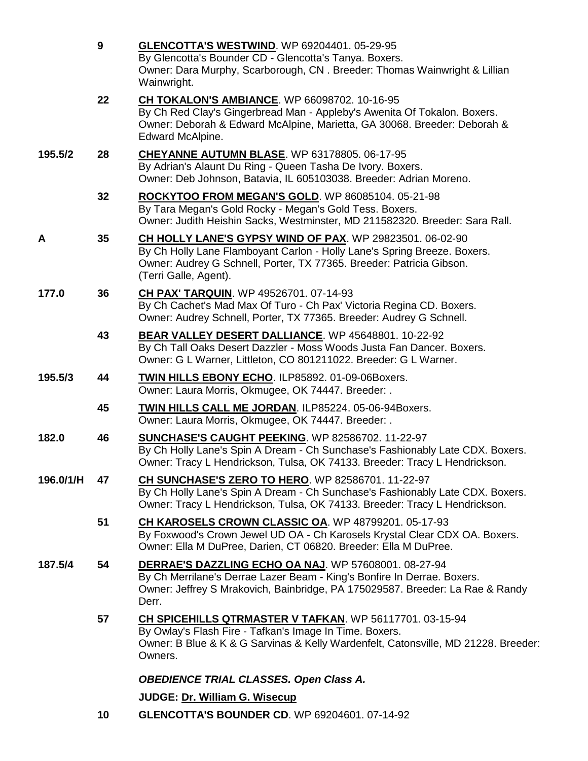|           | $\boldsymbol{9}$ | GLENCOTTA'S WESTWIND. WP 69204401. 05-29-95<br>By Glencotta's Bounder CD - Glencotta's Tanya. Boxers.<br>Owner: Dara Murphy, Scarborough, CN. Breeder: Thomas Wainwright & Lillian<br>Wainwright.                                     |
|-----------|------------------|---------------------------------------------------------------------------------------------------------------------------------------------------------------------------------------------------------------------------------------|
|           | 22               | CH TOKALON'S AMBIANCE. WP 66098702. 10-16-95<br>By Ch Red Clay's Gingerbread Man - Appleby's Awenita Of Tokalon. Boxers.<br>Owner: Deborah & Edward McAlpine, Marietta, GA 30068. Breeder: Deborah &<br>Edward McAlpine.              |
| 195.5/2   | 28               | <b>CHEYANNE AUTUMN BLASE.</b> WP 63178805. 06-17-95<br>By Adrian's Alaunt Du Ring - Queen Tasha De Ivory. Boxers.<br>Owner: Deb Johnson, Batavia, IL 605103038. Breeder: Adrian Moreno.                                               |
|           | 32               | ROCKYTOO FROM MEGAN'S GOLD. WP 86085104. 05-21-98<br>By Tara Megan's Gold Rocky - Megan's Gold Tess. Boxers.<br>Owner: Judith Heishin Sacks, Westminster, MD 211582320. Breeder: Sara Rall.                                           |
| A         | 35               | CH HOLLY LANE'S GYPSY WIND OF PAX. WP 29823501. 06-02-90<br>By Ch Holly Lane Flamboyant Carlon - Holly Lane's Spring Breeze. Boxers.<br>Owner: Audrey G Schnell, Porter, TX 77365. Breeder: Patricia Gibson.<br>(Terri Galle, Agent). |
| 177.0     | 36               | CH PAX' TARQUIN. WP 49526701. 07-14-93<br>By Ch Cachet's Mad Max Of Turo - Ch Pax' Victoria Regina CD. Boxers.<br>Owner: Audrey Schnell, Porter, TX 77365. Breeder: Audrey G Schnell.                                                 |
|           | 43               | BEAR VALLEY DESERT DALLIANCE. WP 45648801. 10-22-92<br>By Ch Tall Oaks Desert Dazzler - Moss Woods Justa Fan Dancer. Boxers.<br>Owner: G L Warner, Littleton, CO 801211022. Breeder: G L Warner.                                      |
| 195.5/3   | 44               | <b>TWIN HILLS EBONY ECHO. ILP85892. 01-09-06Boxers.</b><br>Owner: Laura Morris, Okmugee, OK 74447. Breeder: .                                                                                                                         |
|           | 45               | TWIN HILLS CALL ME JORDAN. ILP85224. 05-06-94Boxers.<br>Owner: Laura Morris, Okmugee, OK 74447. Breeder: .                                                                                                                            |
| 182.0     | 46               | <b>SUNCHASE'S CAUGHT PEEKING. WP 82586702. 11-22-97</b><br>By Ch Holly Lane's Spin A Dream - Ch Sunchase's Fashionably Late CDX. Boxers.<br>Owner: Tracy L Hendrickson, Tulsa, OK 74133. Breeder: Tracy L Hendrickson.                |
| 196.0/1/H | 47               | CH SUNCHASE'S ZERO TO HERO. WP 82586701. 11-22-97<br>By Ch Holly Lane's Spin A Dream - Ch Sunchase's Fashionably Late CDX. Boxers.<br>Owner: Tracy L Hendrickson, Tulsa, OK 74133. Breeder: Tracy L Hendrickson.                      |
|           | 51               | CH KAROSELS CROWN CLASSIC OA. WP 48799201. 05-17-93<br>By Foxwood's Crown Jewel UD OA - Ch Karosels Krystal Clear CDX OA. Boxers.<br>Owner: Ella M DuPree, Darien, CT 06820. Breeder: Ella M DuPree.                                  |
| 187.5/4   | 54               | <b>DERRAE'S DAZZLING ECHO OA NAJ. WP 57608001. 08-27-94</b><br>By Ch Merrilane's Derrae Lazer Beam - King's Bonfire In Derrae. Boxers.<br>Owner: Jeffrey S Mrakovich, Bainbridge, PA 175029587. Breeder: La Rae & Randy<br>Derr.      |
|           | 57               | CH SPICEHILLS QTRMASTER V TAFKAN. WP 56117701. 03-15-94<br>By Owlay's Flash Fire - Tafkan's Image In Time. Boxers.<br>Owner: B Blue & K & G Sarvinas & Kelly Wardenfelt, Catonsville, MD 21228. Breeder:<br>Owners.                   |
|           |                  | <b>OBEDIENCE TRIAL CLASSES. Open Class A.</b>                                                                                                                                                                                         |
|           |                  | JUDGE: Dr. William G. Wisecup                                                                                                                                                                                                         |
|           | 10               | <b>GLENCOTTA'S BOUNDER CD. WP 69204601. 07-14-92</b>                                                                                                                                                                                  |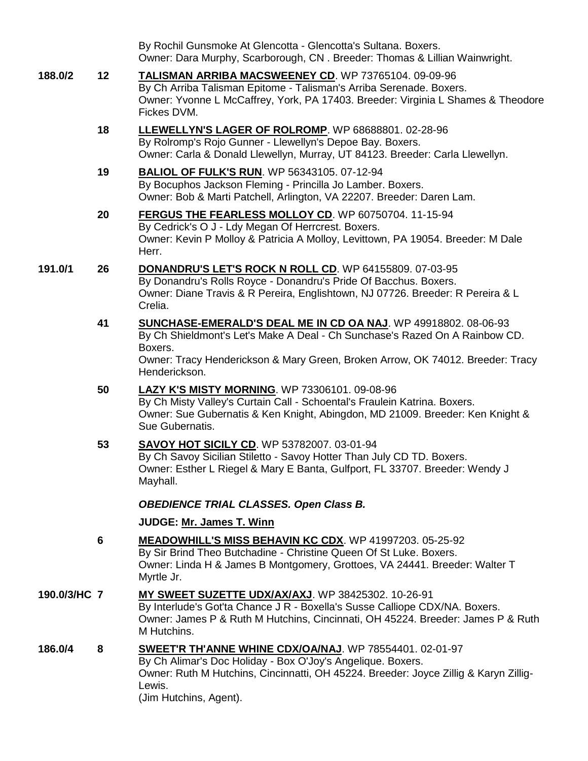|              |                | By Rochil Gunsmoke At Glencotta - Glencotta's Sultana. Boxers.<br>Owner: Dara Murphy, Scarborough, CN. Breeder: Thomas & Lillian Wainwright.                                                                                                                       |
|--------------|----------------|--------------------------------------------------------------------------------------------------------------------------------------------------------------------------------------------------------------------------------------------------------------------|
| 188.0/2      | 12             | TALISMAN ARRIBA MACSWEENEY CD. WP 73765104. 09-09-96<br>By Ch Arriba Talisman Epitome - Talisman's Arriba Serenade. Boxers.<br>Owner: Yvonne L McCaffrey, York, PA 17403. Breeder: Virginia L Shames & Theodore<br>Fickes DVM.                                     |
|              | 18             | LLEWELLYN'S LAGER OF ROLROMP. WP 68688801. 02-28-96<br>By Rolromp's Rojo Gunner - Llewellyn's Depoe Bay. Boxers.<br>Owner: Carla & Donald Llewellyn, Murray, UT 84123. Breeder: Carla Llewellyn.                                                                   |
|              | 19             | <b>BALIOL OF FULK'S RUN. WP 56343105. 07-12-94</b><br>By Bocuphos Jackson Fleming - Princilla Jo Lamber. Boxers.<br>Owner: Bob & Marti Patchell, Arlington, VA 22207. Breeder: Daren Lam.                                                                          |
|              | 20             | FERGUS THE FEARLESS MOLLOY CD. WP 60750704. 11-15-94<br>By Cedrick's O J - Ldy Megan Of Herrcrest. Boxers.<br>Owner: Kevin P Molloy & Patricia A Molloy, Levittown, PA 19054. Breeder: M Dale<br>Herr.                                                             |
| 191.0/1      | 26             | DONANDRU'S LET'S ROCK N ROLL CD. WP 64155809. 07-03-95<br>By Donandru's Rolls Royce - Donandru's Pride Of Bacchus. Boxers.<br>Owner: Diane Travis & R Pereira, Englishtown, NJ 07726. Breeder: R Pereira & L<br>Crelia.                                            |
|              | 41             | <b>SUNCHASE-EMERALD'S DEAL ME IN CD OA NAJ.</b> WP 49918802. 08-06-93<br>By Ch Shieldmont's Let's Make A Deal - Ch Sunchase's Razed On A Rainbow CD.<br>Boxers.<br>Owner: Tracy Henderickson & Mary Green, Broken Arrow, OK 74012. Breeder: Tracy<br>Henderickson. |
|              | 50             | <b>LAZY K'S MISTY MORNING. WP 73306101. 09-08-96</b><br>By Ch Misty Valley's Curtain Call - Schoental's Fraulein Katrina. Boxers.<br>Owner: Sue Gubernatis & Ken Knight, Abingdon, MD 21009. Breeder: Ken Knight &<br>Sue Gubernatis.                              |
|              | 53             | <b>SAVOY HOT SICILY CD. WP 53782007. 03-01-94</b><br>By Ch Savoy Sicilian Stiletto - Savoy Hotter Than July CD TD. Boxers.<br>Owner: Esther L Riegel & Mary E Banta, Gulfport, FL 33707. Breeder: Wendy J<br>Mayhall.                                              |
|              |                | <b>OBEDIENCE TRIAL CLASSES. Open Class B.</b>                                                                                                                                                                                                                      |
|              |                | JUDGE: Mr. James T. Winn                                                                                                                                                                                                                                           |
|              | $6\phantom{1}$ | <b>MEADOWHILL'S MISS BEHAVIN KC CDX.</b> WP 41997203. 05-25-92<br>By Sir Brind Theo Butchadine - Christine Queen Of St Luke. Boxers.<br>Owner: Linda H & James B Montgomery, Grottoes, VA 24441. Breeder: Walter T<br>Myrtle Jr.                                   |
| 190.0/3/HC 7 |                | MY SWEET SUZETTE UDX/AX/AXJ. WP 38425302. 10-26-91<br>By Interlude's Got'ta Chance J R - Boxella's Susse Calliope CDX/NA. Boxers.<br>Owner: James P & Ruth M Hutchins, Cincinnati, OH 45224. Breeder: James P & Ruth<br>M Hutchins.                                |
| 186.0/4      | 8              | <b>SWEET'R TH'ANNE WHINE CDX/OA/NAJ.</b> WP 78554401. 02-01-97<br>By Ch Alimar's Doc Holiday - Box O'Joy's Angelique. Boxers.<br>Owner: Ruth M Hutchins, Cincinnatti, OH 45224. Breeder: Joyce Zillig & Karyn Zillig-<br>Lewis.<br>(Jim Hutchins, Agent).          |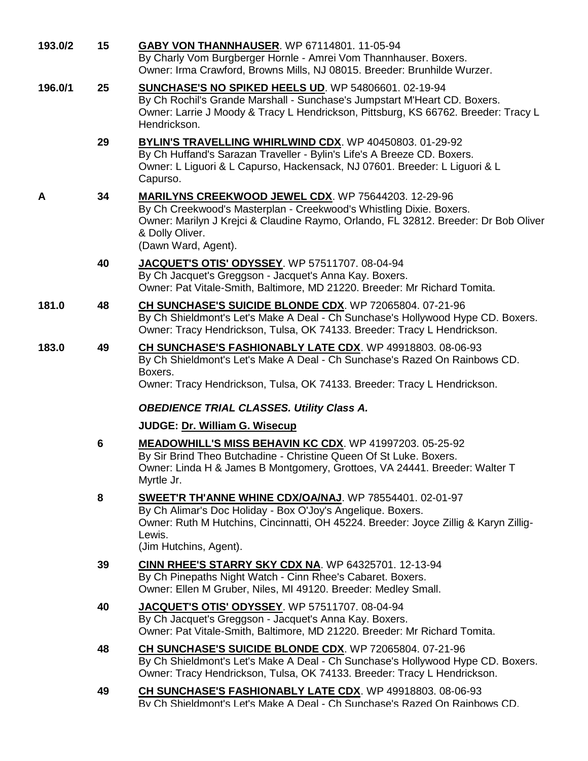| 193.0/2 | 15             | GABY VON THANNHAUSER. WP 67114801. 11-05-94<br>By Charly Vom Burgberger Hornle - Amrei Vom Thannhauser. Boxers.<br>Owner: Irma Crawford, Browns Mills, NJ 08015. Breeder: Brunhilde Wurzer.                                                                                        |
|---------|----------------|------------------------------------------------------------------------------------------------------------------------------------------------------------------------------------------------------------------------------------------------------------------------------------|
| 196.0/1 | 25             | <b>SUNCHASE'S NO SPIKED HEELS UD. WP 54806601. 02-19-94</b><br>By Ch Rochil's Grande Marshall - Sunchase's Jumpstart M'Heart CD. Boxers.<br>Owner: Larrie J Moody & Tracy L Hendrickson, Pittsburg, KS 66762. Breeder: Tracy L<br>Hendrickson.                                     |
|         | 29             | <b>BYLIN'S TRAVELLING WHIRLWIND CDX.</b> WP 40450803. 01-29-92<br>By Ch Huffand's Sarazan Traveller - Bylin's Life's A Breeze CD. Boxers.<br>Owner: L Liguori & L Capurso, Hackensack, NJ 07601. Breeder: L Liguori & L<br>Capurso.                                                |
| A       | 34             | MARILYNS CREEKWOOD JEWEL CDX. WP 75644203. 12-29-96<br>By Ch Creekwood's Masterplan - Creekwood's Whistling Dixie. Boxers.<br>Owner: Marilyn J Krejci & Claudine Raymo, Orlando, FL 32812. Breeder: Dr Bob Oliver<br>& Dolly Oliver.<br>(Dawn Ward, Agent).                        |
|         | 40             | JACQUET'S OTIS' ODYSSEY. WP 57511707. 08-04-94<br>By Ch Jacquet's Greggson - Jacquet's Anna Kay. Boxers.<br>Owner: Pat Vitale-Smith, Baltimore, MD 21220. Breeder: Mr Richard Tomita.                                                                                              |
| 181.0   | 48             | CH SUNCHASE'S SUICIDE BLONDE CDX. WP 72065804. 07-21-96<br>By Ch Shieldmont's Let's Make A Deal - Ch Sunchase's Hollywood Hype CD. Boxers.<br>Owner: Tracy Hendrickson, Tulsa, OK 74133. Breeder: Tracy L Hendrickson.                                                             |
| 183.0   | 49             | CH SUNCHASE'S FASHIONABLY LATE CDX. WP 49918803. 08-06-93<br>By Ch Shieldmont's Let's Make A Deal - Ch Sunchase's Razed On Rainbows CD.<br>Boxers.<br>Owner: Tracy Hendrickson, Tulsa, OK 74133. Breeder: Tracy L Hendrickson.<br><b>OBEDIENCE TRIAL CLASSES. Utility Class A.</b> |
|         | $6\phantom{1}$ | JUDGE: Dr. William G. Wisecup<br><b>MEADOWHILL'S MISS BEHAVIN KC CDX.</b> WP 41997203. 05-25-92<br>By Sir Brind Theo Butchadine - Christine Queen Of St Luke. Boxers.<br>Owner: Linda H & James B Montgomery, Grottoes, VA 24441. Breeder: Walter T<br>Myrtle Jr.                  |
|         | 8              | SWEET'R TH'ANNE WHINE CDX/OA/NAJ. WP 78554401. 02-01-97<br>By Ch Alimar's Doc Holiday - Box O'Joy's Angelique. Boxers.<br>Owner: Ruth M Hutchins, Cincinnatti, OH 45224. Breeder: Joyce Zillig & Karyn Zillig-<br>Lewis.<br>(Jim Hutchins, Agent).                                 |
|         | 39             | CINN RHEE'S STARRY SKY CDX NA. WP 64325701. 12-13-94<br>By Ch Pinepaths Night Watch - Cinn Rhee's Cabaret. Boxers.<br>Owner: Ellen M Gruber, Niles, MI 49120. Breeder: Medley Small.                                                                                               |
|         | 40             | JACQUET'S OTIS' ODYSSEY. WP 57511707. 08-04-94<br>By Ch Jacquet's Greggson - Jacquet's Anna Kay. Boxers.<br>Owner: Pat Vitale-Smith, Baltimore, MD 21220. Breeder: Mr Richard Tomita.                                                                                              |
|         | 48             | CH SUNCHASE'S SUICIDE BLONDE CDX. WP 72065804. 07-21-96<br>By Ch Shieldmont's Let's Make A Deal - Ch Sunchase's Hollywood Hype CD. Boxers.<br>Owner: Tracy Hendrickson, Tulsa, OK 74133. Breeder: Tracy L Hendrickson.                                                             |
|         | 49             | CH SUNCHASE'S FASHIONABLY LATE CDX. WP 49918803. 08-06-93<br>By Ch Shieldmont's Let's Make A Deal - Ch Sunchase's Razed On Rainbows CD.                                                                                                                                            |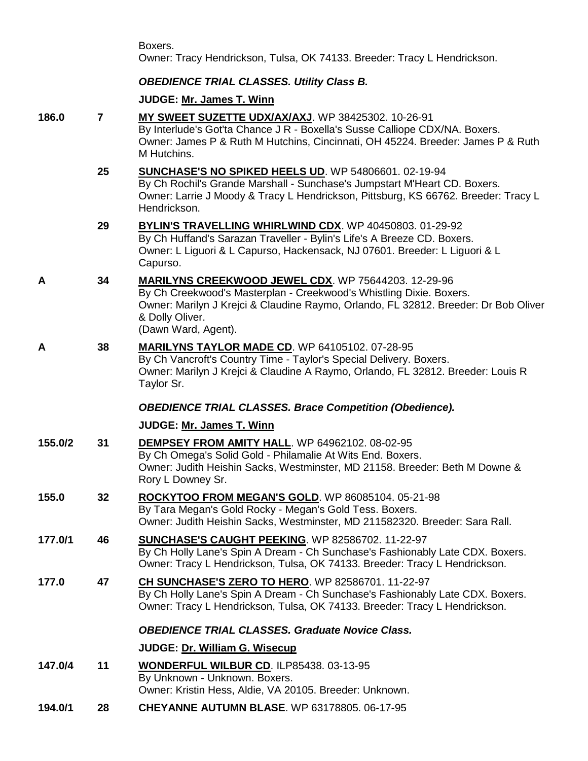Boxers. Owner: Tracy Hendrickson, Tulsa, OK 74133. Breeder: Tracy L Hendrickson.

# *OBEDIENCE TRIAL CLASSES. Utility Class B.*

# **JUDGE: [Mr. James T. Winn](http://www.infodog.com/show/judge/jdgprofile.htm?jn=2497)**

| 186.0   | $\overline{7}$ | MY SWEET SUZETTE UDX/AX/AXJ. WP 38425302. 10-26-91<br>By Interlude's Got'ta Chance J R - Boxella's Susse Calliope CDX/NA. Boxers.<br>Owner: James P & Ruth M Hutchins, Cincinnati, OH 45224. Breeder: James P & Ruth<br>M Hutchins.                                |
|---------|----------------|--------------------------------------------------------------------------------------------------------------------------------------------------------------------------------------------------------------------------------------------------------------------|
|         | 25             | <b>SUNCHASE'S NO SPIKED HEELS UD. WP 54806601. 02-19-94</b><br>By Ch Rochil's Grande Marshall - Sunchase's Jumpstart M'Heart CD. Boxers.<br>Owner: Larrie J Moody & Tracy L Hendrickson, Pittsburg, KS 66762. Breeder: Tracy L<br>Hendrickson.                     |
|         | 29             | <b>BYLIN'S TRAVELLING WHIRLWIND CDX.</b> WP 40450803. 01-29-92<br>By Ch Huffand's Sarazan Traveller - Bylin's Life's A Breeze CD. Boxers.<br>Owner: L Liguori & L Capurso, Hackensack, NJ 07601. Breeder: L Liguori & L<br>Capurso.                                |
| A       | 34             | <b>MARILYNS CREEKWOOD JEWEL CDX.</b> WP 75644203. 12-29-96<br>By Ch Creekwood's Masterplan - Creekwood's Whistling Dixie. Boxers.<br>Owner: Marilyn J Krejci & Claudine Raymo, Orlando, FL 32812. Breeder: Dr Bob Oliver<br>& Dolly Oliver.<br>(Dawn Ward, Agent). |
| A       | 38             | <b>MARILYNS TAYLOR MADE CD. WP 64105102. 07-28-95</b><br>By Ch Vancroft's Country Time - Taylor's Special Delivery. Boxers.<br>Owner: Marilyn J Krejci & Claudine A Raymo, Orlando, FL 32812. Breeder: Louis R<br>Taylor Sr.                                       |
|         |                | <b>OBEDIENCE TRIAL CLASSES. Brace Competition (Obedience).</b>                                                                                                                                                                                                     |
|         |                | <b>JUDGE: Mr. James T. Winn</b>                                                                                                                                                                                                                                    |
| 155.0/2 | 31             | DEMPSEY FROM AMITY HALL. WP 64962102. 08-02-95<br>By Ch Omega's Solid Gold - Philamalie At Wits End. Boxers.<br>Owner: Judith Heishin Sacks, Westminster, MD 21158. Breeder: Beth M Downe &<br>Rory L Downey Sr.                                                   |
| 155.0   | 32             | ROCKYTOO FROM MEGAN'S GOLD. WP 86085104. 05-21-98<br>By Tara Megan's Gold Rocky - Megan's Gold Tess. Boxers.<br>Owner: Judith Heishin Sacks, Westminster, MD 211582320. Breeder: Sara Rall.                                                                        |
| 177.0/1 | 46             | <b>SUNCHASE'S CAUGHT PEEKING. WP 82586702. 11-22-97</b><br>By Ch Holly Lane's Spin A Dream - Ch Sunchase's Fashionably Late CDX. Boxers.<br>Owner: Tracy L Hendrickson, Tulsa, OK 74133. Breeder: Tracy L Hendrickson.                                             |
| 177.0   | 47             | CH SUNCHASE'S ZERO TO HERO. WP 82586701. 11-22-97<br>By Ch Holly Lane's Spin A Dream - Ch Sunchase's Fashionably Late CDX. Boxers.<br>Owner: Tracy L Hendrickson, Tulsa, OK 74133. Breeder: Tracy L Hendrickson.                                                   |
|         |                | <b>OBEDIENCE TRIAL CLASSES. Graduate Novice Class.</b>                                                                                                                                                                                                             |
|         |                | JUDGE: Dr. William G. Wisecup                                                                                                                                                                                                                                      |
| 147.0/4 | 11             | <b>WONDERFUL WILBUR CD. ILP85438. 03-13-95</b><br>By Unknown - Unknown. Boxers.<br>Owner: Kristin Hess, Aldie, VA 20105. Breeder: Unknown.                                                                                                                         |
| 194.0/1 | 28             | CHEYANNE AUTUMN BLASE. WP 63178805. 06-17-95                                                                                                                                                                                                                       |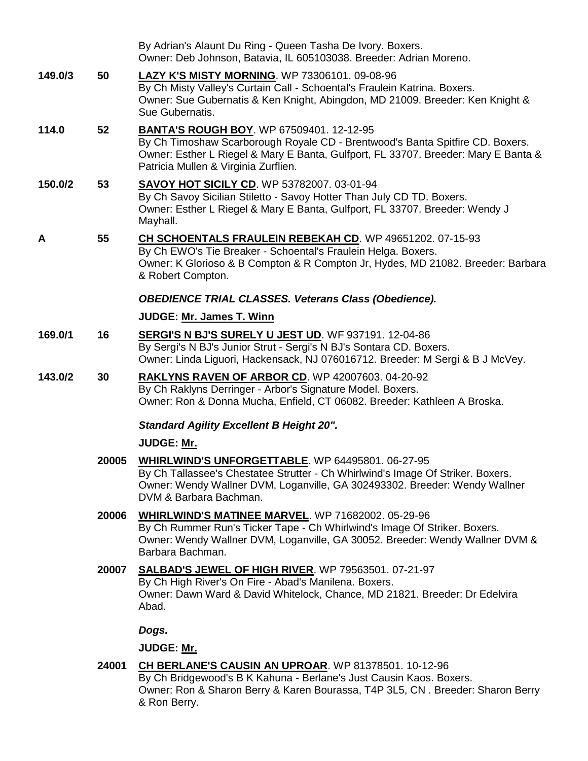|         |       | By Adrian's Alaunt Du Ring - Queen Tasha De Ivory. Boxers.<br>Owner: Deb Johnson, Batavia, IL 605103038. Breeder: Adrian Moreno.                                                                                                                               |
|---------|-------|----------------------------------------------------------------------------------------------------------------------------------------------------------------------------------------------------------------------------------------------------------------|
| 149.0/3 | 50    | <b>LAZY K'S MISTY MORNING.</b> WP 73306101. 09-08-96<br>By Ch Misty Valley's Curtain Call - Schoental's Fraulein Katrina. Boxers.<br>Owner: Sue Gubernatis & Ken Knight, Abingdon, MD 21009. Breeder: Ken Knight &<br>Sue Gubernatis.                          |
| 114.0   | 52    | <b>BANTA'S ROUGH BOY. WP 67509401. 12-12-95</b><br>By Ch Timoshaw Scarborough Royale CD - Brentwood's Banta Spitfire CD. Boxers.<br>Owner: Esther L Riegel & Mary E Banta, Gulfport, FL 33707. Breeder: Mary E Banta &<br>Patricia Mullen & Virginia Zurflien. |
| 150.0/2 | 53    | <b>SAVOY HOT SICILY CD. WP 53782007. 03-01-94</b><br>By Ch Savoy Sicilian Stiletto - Savoy Hotter Than July CD TD. Boxers.<br>Owner: Esther L Riegel & Mary E Banta, Gulfport, FL 33707. Breeder: Wendy J<br>Mayhall.                                          |
| A       | 55    | CH SCHOENTALS FRAULEIN REBEKAH CD. WP 49651202. 07-15-93<br>By Ch EWO's Tie Breaker - Schoental's Fraulein Helga. Boxers.<br>Owner: K Glorioso & B Compton & R Compton Jr, Hydes, MD 21082. Breeder: Barbara<br>& Robert Compton.                              |
|         |       | <b>OBEDIENCE TRIAL CLASSES. Veterans Class (Obedience).</b>                                                                                                                                                                                                    |
|         |       | JUDGE: Mr. James T. Winn                                                                                                                                                                                                                                       |
| 169.0/1 | 16    | <b>SERGI'S N BJ'S SURELY U JEST UD. WF 937191. 12-04-86</b><br>By Sergi's N BJ's Junior Strut - Sergi's N BJ's Sontara CD. Boxers.<br>Owner: Linda Liguori, Hackensack, NJ 076016712. Breeder: M Sergi & B J McVey.                                            |
| 143.0/2 | 30    | <b>RAKLYNS RAVEN OF ARBOR CD. WP 42007603. 04-20-92</b><br>By Ch Raklyns Derringer - Arbor's Signature Model. Boxers.<br>Owner: Ron & Donna Mucha, Enfield, CT 06082. Breeder: Kathleen A Broska.                                                              |
|         |       | <b>Standard Agility Excellent B Height 20".</b>                                                                                                                                                                                                                |
|         |       | JUDGE: Mr.                                                                                                                                                                                                                                                     |
|         | 20005 | WHIRLWIND'S UNFORGETTABLE. WP 64495801. 06-27-95<br>By Ch Tallassee's Chestatee Strutter - Ch Whirlwind's Image Of Striker. Boxers.<br>Owner: Wendy Wallner DVM, Loganville, GA 302493302. Breeder: Wendy Wallner<br>DVM & Barbara Bachman.                    |
|         | 20006 | <b>WHIRLWIND'S MATINEE MARVEL. WP 71682002. 05-29-96</b><br>By Ch Rummer Run's Ticker Tape - Ch Whirlwind's Image Of Striker. Boxers.<br>Owner: Wendy Wallner DVM, Loganville, GA 30052. Breeder: Wendy Wallner DVM &<br>Barbara Bachman.                      |
|         | 20007 | <b>SALBAD'S JEWEL OF HIGH RIVER. WP 79563501. 07-21-97</b><br>By Ch High River's On Fire - Abad's Manilena. Boxers.<br>Owner: Dawn Ward & David Whitelock, Chance, MD 21821. Breeder: Dr Edelvira<br>Abad.                                                     |
|         |       | Dogs.                                                                                                                                                                                                                                                          |
|         |       | JUDGE: Mr.                                                                                                                                                                                                                                                     |
|         | 24001 | CH BERLANE'S CAUSIN AN UPROAR. WP 81378501. 10-12-96<br>By Ch Bridgewood's B K Kahuna - Berlane's Just Causin Kaos. Boxers.<br>Owner: Ron & Sharon Berry & Karen Bourassa, T4P 3L5, CN. Breeder: Sharon Berry<br>& Ron Berry.                                  |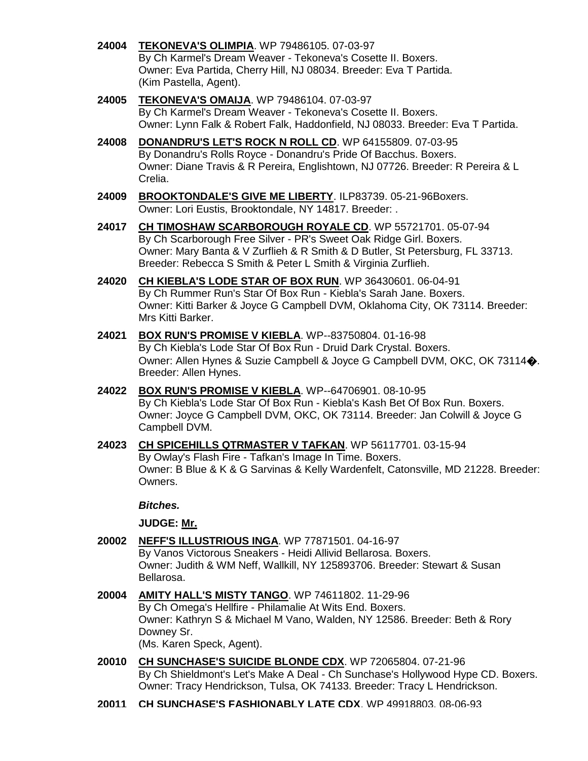- **24004 [TEKONEVA'S OLIMPIA](http://www.infodog.com/my/drlookup2.htm?makc=WP%2079486105&mdog=Tekoneva%27s+Olimpia&wins=all)**. WP 79486105. 07-03-97 By Ch Karmel's Dream Weaver - Tekoneva's Cosette II. Boxers. Owner: Eva Partida, Cherry Hill, NJ 08034. Breeder: Eva T Partida. (Kim Pastella, Agent).
- **24005 [TEKONEVA'S OMAIJA](http://www.infodog.com/my/drlookup2.htm?makc=WP%2079486104&mdog=Tekoneva%27s+Omaija&wins=all)**. WP 79486104. 07-03-97 By Ch Karmel's Dream Weaver - Tekoneva's Cosette II. Boxers. Owner: Lynn Falk & Robert Falk, Haddonfield, NJ 08033. Breeder: Eva T Partida.
- **24008 [DONANDRU'S LET'S ROCK N ROLL CD](http://www.infodog.com/my/drlookup2.htm?makc=WP%2064155809&mdog=Donandru%27s+Let%27s+Rock+N+Roll+CD&wins=all)**. WP 64155809. 07-03-95 By Donandru's Rolls Royce - Donandru's Pride Of Bacchus. Boxers. Owner: Diane Travis & R Pereira, Englishtown, NJ 07726. Breeder: R Pereira & L Crelia.
- **24009 [BROOKTONDALE'S GIVE ME LIBERTY](http://www.infodog.com/my/drlookup2.htm?makc=ILP83739&mdog=Brooktondale%27s+Give+Me+Liberty&wins=all)**. ILP83739. 05-21-96Boxers. Owner: Lori Eustis, Brooktondale, NY 14817. Breeder: .
- **24017 [CH TIMOSHAW SCARBOROUGH ROYALE CD](http://www.infodog.com/my/drlookup2.htm?makc=WP%2055721701&mdog=Ch+Timoshaw+Scarborough+Royale+CD&wins=all)**. WP 55721701. 05-07-94 By Ch Scarborough Free Silver - PR's Sweet Oak Ridge Girl. Boxers. Owner: Mary Banta & V Zurflieh & R Smith & D Butler, St Petersburg, FL 33713. Breeder: Rebecca S Smith & Peter L Smith & Virginia Zurflieh.
- **24020 [CH KIEBLA'S LODE STAR OF BOX RUN](http://www.infodog.com/my/drlookup2.htm?makc=WP%2036430601&mdog=Ch+Kiebla%27s+Lode+Star+Of+Box+Run&wins=all)**. WP 36430601. 06-04-91 By Ch Rummer Run's Star Of Box Run - Kiebla's Sarah Jane. Boxers. Owner: Kitti Barker & Joyce G Campbell DVM, Oklahoma City, OK 73114. Breeder: Mrs Kitti Barker.
- **24021 [BOX RUN'S PROMISE V KIEBLA](http://www.infodog.com/my/drlookup2.htm?makc=WP--83750804&mdog=Box+Run%27s+Promise+v+Kiebla&wins=all)**. WP--83750804. 01-16-98 By Ch Kiebla's Lode Star Of Box Run - Druid Dark Crystal. Boxers. Owner: Allen Hynes & Suzie Campbell & Joyce G Campbell DVM, OKC, OK 73114�. Breeder: Allen Hynes.
- **24022 [BOX RUN'S PROMISE V KIEBLA](http://www.infodog.com/my/drlookup2.htm?makc=WP--64706901&mdog=Box+Run%27s+Promise+v+Kiebla&wins=all)**. WP--64706901. 08-10-95 By Ch Kiebla's Lode Star Of Box Run - Kiebla's Kash Bet Of Box Run. Boxers. Owner: Joyce G Campbell DVM, OKC, OK 73114. Breeder: Jan Colwill & Joyce G Campbell DVM.
- **24023 [CH SPICEHILLS QTRMASTER V TAFKAN](http://www.infodog.com/my/drlookup2.htm?makc=WP%2056117701&mdog=Ch+Spicehills+Qtrmaster+V+Tafkan&wins=all)**. WP 56117701. 03-15-94 By Owlay's Flash Fire - Tafkan's Image In Time. Boxers. Owner: B Blue & K & G Sarvinas & Kelly Wardenfelt, Catonsville, MD 21228. Breeder: Owners.

# *Bitches.*

- **20002 [NEFF'S ILLUSTRIOUS INGA](http://www.infodog.com/my/drlookup2.htm?makc=WP%2077871501&mdog=Neff%27s+Illustrious+Inga&wins=all)**. WP 77871501. 04-16-97 By Vanos Victorous Sneakers - Heidi Allivid Bellarosa. Boxers. Owner: Judith & WM Neff, Wallkill, NY 125893706. Breeder: Stewart & Susan Bellarosa.
- **20004 [AMITY HALL'S MISTY TANGO](http://www.infodog.com/my/drlookup2.htm?makc=WP%2074611802&mdog=Amity+Hall%27s+Misty+Tango&wins=all)**. WP 74611802. 11-29-96 By Ch Omega's Hellfire - Philamalie At Wits End. Boxers. Owner: Kathryn S & Michael M Vano, Walden, NY 12586. Breeder: Beth & Rory Downey Sr. (Ms. Karen Speck, Agent).
- **20010 [CH SUNCHASE'S SUICIDE BLONDE CDX](http://www.infodog.com/my/drlookup2.htm?makc=WP%2072065804&mdog=Ch+Sunchase%27s+Suicide+Blonde+CDX&wins=all)**. WP 72065804. 07-21-96 By Ch Shieldmont's Let's Make A Deal - Ch Sunchase's Hollywood Hype CD. Boxers. Owner: Tracy Hendrickson, Tulsa, OK 74133. Breeder: Tracy L Hendrickson.
- **20011 [CH SUNCHASE'S FASHIONABLY LATE CDX](http://www.infodog.com/my/drlookup2.htm?makc=WP%2049918803&mdog=Ch+Sunchase%27s+Fashionably+Late+CDX&wins=all)**. WP 49918803. 08-06-93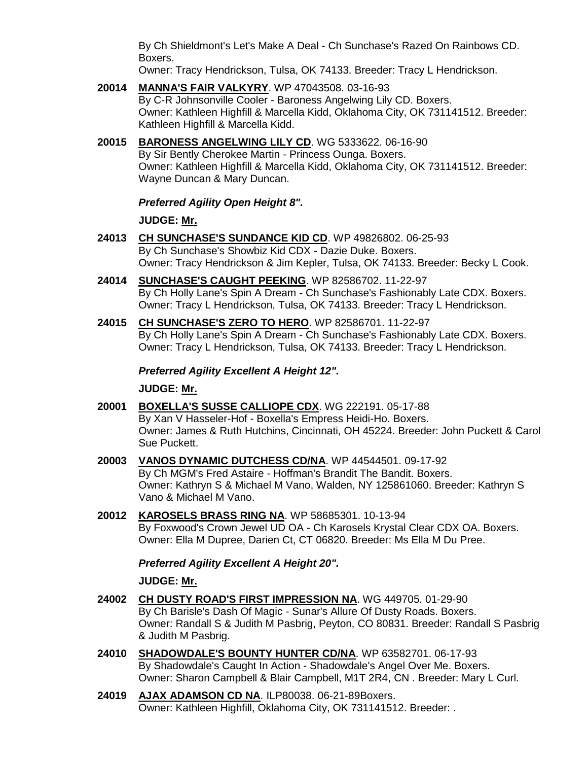By Ch Shieldmont's Let's Make A Deal - Ch Sunchase's Razed On Rainbows CD. Boxers.

Owner: Tracy Hendrickson, Tulsa, OK 74133. Breeder: Tracy L Hendrickson.

**20014 [MANNA'S FAIR VALKYRY](http://www.infodog.com/my/drlookup2.htm?makc=WP%2047043508&mdog=Manna%27s+Fair+Valkyry&wins=all)**. WP 47043508. 03-16-93 By C-R Johnsonville Cooler - Baroness Angelwing Lily CD. Boxers. Owner: Kathleen Highfill & Marcella Kidd, Oklahoma City, OK 731141512. Breeder: Kathleen Highfill & Marcella Kidd.

# **20015 [BARONESS ANGELWING LILY CD](http://www.infodog.com/my/drlookup2.htm?makc=WG%205333622&mdog=Baroness+Angelwing+Lily+CD&wins=all)**. WG 5333622. 06-16-90 By Sir Bently Cherokee Martin - Princess Ounga. Boxers.

Owner: Kathleen Highfill & Marcella Kidd, Oklahoma City, OK 731141512. Breeder: Wayne Duncan & Mary Duncan.

# *Preferred Agility Open Height 8".*

# **JUDGE: [Mr.](http://www.infodog.com/show/judge/jdgprofile.htm?jn=)**

- **24013 [CH SUNCHASE'S SUNDANCE KID CD](http://www.infodog.com/my/drlookup2.htm?makc=WP%2049826802&mdog=Ch+Sunchase%27s+Sundance+Kid+CD&wins=all)**. WP 49826802. 06-25-93 By Ch Sunchase's Showbiz Kid CDX - Dazie Duke. Boxers. Owner: Tracy Hendrickson & Jim Kepler, Tulsa, OK 74133. Breeder: Becky L Cook.
- **24014 [SUNCHASE'S CAUGHT PEEKING](http://www.infodog.com/my/drlookup2.htm?makc=WP%2082586702&mdog=Sunchase%27s+Caught+Peeking&wins=all)**. WP 82586702. 11-22-97 By Ch Holly Lane's Spin A Dream - Ch Sunchase's Fashionably Late CDX. Boxers. Owner: Tracy L Hendrickson, Tulsa, OK 74133. Breeder: Tracy L Hendrickson.
- **24015 [CH SUNCHASE'S ZERO TO HERO](http://www.infodog.com/my/drlookup2.htm?makc=WP%2082586701&mdog=Ch+Sunchase%27s+Zero+To+Hero&wins=all)**. WP 82586701. 11-22-97 By Ch Holly Lane's Spin A Dream - Ch Sunchase's Fashionably Late CDX. Boxers. Owner: Tracy L Hendrickson, Tulsa, OK 74133. Breeder: Tracy L Hendrickson.

# *Preferred Agility Excellent A Height 12".*

# **JUDGE: [Mr.](http://www.infodog.com/show/judge/jdgprofile.htm?jn=)**

- **20001 [BOXELLA'S SUSSE CALLIOPE CDX](http://www.infodog.com/my/drlookup2.htm?makc=WG%20222191&mdog=Boxella%27s+Susse+Calliope+CDX&wins=all)**. WG 222191. 05-17-88 By Xan V Hasseler-Hof - Boxella's Empress Heidi-Ho. Boxers. Owner: James & Ruth Hutchins, Cincinnati, OH 45224. Breeder: John Puckett & Carol Sue Puckett.
- **20003 [VANOS DYNAMIC DUTCHESS CD/NA](http://www.infodog.com/my/drlookup2.htm?makc=WP%2044544501&mdog=Vanos+Dynamic+Dutchess+CD/NA&wins=all)**. WP 44544501. 09-17-92 By Ch MGM's Fred Astaire - Hoffman's Brandit The Bandit. Boxers. Owner: Kathryn S & Michael M Vano, Walden, NY 125861060. Breeder: Kathryn S Vano & Michael M Vano.
- **20012 [KAROSELS BRASS RING NA](http://www.infodog.com/my/drlookup2.htm?makc=WP%2058685301&mdog=Karosels+Brass+Ring+NA&wins=all)**. WP 58685301. 10-13-94 By Foxwood's Crown Jewel UD OA - Ch Karosels Krystal Clear CDX OA. Boxers. Owner: Ella M Dupree, Darien Ct, CT 06820. Breeder: Ms Ella M Du Pree.

# *Preferred Agility Excellent A Height 20".*

- **24002 [CH DUSTY ROAD'S FIRST IMPRESSION NA](http://www.infodog.com/my/drlookup2.htm?makc=WG%20449705&mdog=Ch+Dusty+Road%27s+First+Impression+NA&wins=all)**. WG 449705. 01-29-90 By Ch Barisle's Dash Of Magic - Sunar's Allure Of Dusty Roads. Boxers. Owner: Randall S & Judith M Pasbrig, Peyton, CO 80831. Breeder: Randall S Pasbrig & Judith M Pasbrig.
- **24010 [SHADOWDALE'S BOUNTY HUNTER CD/NA](http://www.infodog.com/my/drlookup2.htm?makc=WP%2063582701&mdog=Shadowdale%27s+Bounty+Hunter+CD/NA&wins=all)**. WP 63582701. 06-17-93 By Shadowdale's Caught In Action - Shadowdale's Angel Over Me. Boxers. Owner: Sharon Campbell & Blair Campbell, M1T 2R4, CN . Breeder: Mary L Curl.
- **24019 [AJAX ADAMSON CD NA](http://www.infodog.com/my/drlookup2.htm?makc=ILP80038&mdog=Ajax+Adamson+CD+NA&wins=all)**. ILP80038. 06-21-89Boxers. Owner: Kathleen Highfill, Oklahoma City, OK 731141512. Breeder: .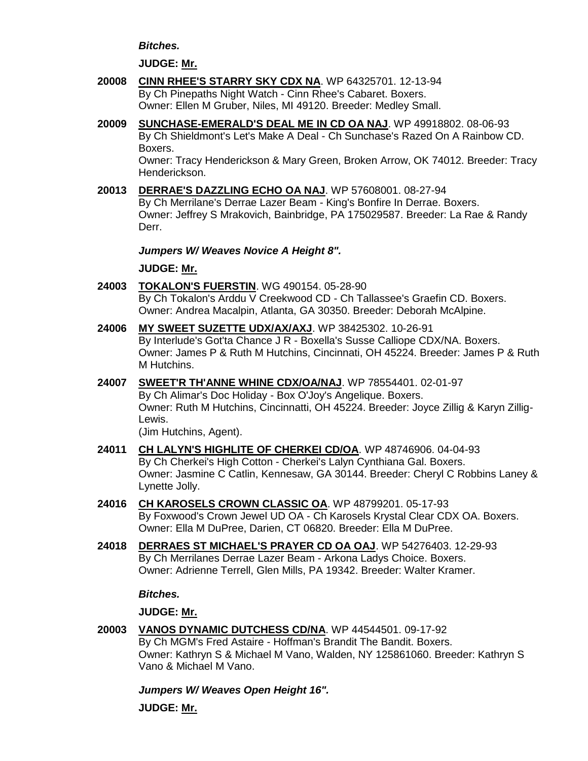*Bitches.*

#### **JUDGE: [Mr.](http://www.infodog.com/show/judge/jdgprofile.htm?jn=)**

- **20008 [CINN RHEE'S STARRY SKY CDX NA](http://www.infodog.com/my/drlookup2.htm?makc=WP%2064325701&mdog=Cinn+Rhee%27s+Starry+Sky+CDX+NA&wins=all)**. WP 64325701. 12-13-94 By Ch Pinepaths Night Watch - Cinn Rhee's Cabaret. Boxers. Owner: Ellen M Gruber, Niles, MI 49120. Breeder: Medley Small.
- **20009 [SUNCHASE-EMERALD'S DEAL ME IN CD OA NAJ](http://www.infodog.com/my/drlookup2.htm?makc=WP%2049918802&mdog=Sunchase-Emerald%27s+Deal+Me+In+CD+OA+NAJ&wins=all)**. WP 49918802. 08-06-93 By Ch Shieldmont's Let's Make A Deal - Ch Sunchase's Razed On A Rainbow CD. Boxers. Owner: Tracy Henderickson & Mary Green, Broken Arrow, OK 74012. Breeder: Tracy

Henderickson.

**20013 [DERRAE'S DAZZLING ECHO OA NAJ](http://www.infodog.com/my/drlookup2.htm?makc=WP%2057608001&mdog=Derrae%27s+Dazzling+Echo+OA+NAJ&wins=all)**. WP 57608001. 08-27-94 By Ch Merrilane's Derrae Lazer Beam - King's Bonfire In Derrae. Boxers. Owner: Jeffrey S Mrakovich, Bainbridge, PA 175029587. Breeder: La Rae & Randy Derr.

*Jumpers W/ Weaves Novice A Height 8".*

# **JUDGE: [Mr.](http://www.infodog.com/show/judge/jdgprofile.htm?jn=)**

- **24003 [TOKALON'S FUERSTIN](http://www.infodog.com/my/drlookup2.htm?makc=WG%20490154&mdog=Tokalon%27s+Fuerstin&wins=all)**. WG 490154. 05-28-90 By Ch Tokalon's Arddu V Creekwood CD - Ch Tallassee's Graefin CD. Boxers. Owner: Andrea Macalpin, Atlanta, GA 30350. Breeder: Deborah McAlpine.
- **24006 [MY SWEET SUZETTE UDX/AX/AXJ](http://www.infodog.com/my/drlookup2.htm?makc=WP%2038425302&mdog=My+Sweet+Suzette+UDX/AX/AXJ&wins=all)**. WP 38425302. 10-26-91 By Interlude's Got'ta Chance J R - Boxella's Susse Calliope CDX/NA. Boxers. Owner: James P & Ruth M Hutchins, Cincinnati, OH 45224. Breeder: James P & Ruth M Hutchins.
- **24007 [SWEET'R TH'ANNE WHINE CDX/OA/NAJ](http://www.infodog.com/my/drlookup2.htm?makc=WP%2078554401&mdog=Sweet%27r+Th%27Anne+Whine+CDX/OA/NAJ&wins=all)**. WP 78554401. 02-01-97 By Ch Alimar's Doc Holiday - Box O'Joy's Angelique. Boxers. Owner: Ruth M Hutchins, Cincinnatti, OH 45224. Breeder: Joyce Zillig & Karyn Zillig-Lewis.

(Jim Hutchins, Agent).

- **24011 [CH LALYN'S HIGHLITE OF CHERKEI CD/OA](http://www.infodog.com/my/drlookup2.htm?makc=WP%2048746906&mdog=Ch+Lalyn%27s+Highlite+Of+Cherkei+CD/OA&wins=all)**. WP 48746906. 04-04-93 By Ch Cherkei's High Cotton - Cherkei's Lalyn Cynthiana Gal. Boxers. Owner: Jasmine C Catlin, Kennesaw, GA 30144. Breeder: Cheryl C Robbins Laney & Lynette Jolly.
- **24016 [CH KAROSELS CROWN CLASSIC OA](http://www.infodog.com/my/drlookup2.htm?makc=WP%2048799201&mdog=Ch+Karosels+Crown+Classic+OA&wins=all)**. WP 48799201. 05-17-93 By Foxwood's Crown Jewel UD OA - Ch Karosels Krystal Clear CDX OA. Boxers. Owner: Ella M DuPree, Darien, CT 06820. Breeder: Ella M DuPree.
- **24018 [DERRAES ST MICHAEL'S PRAYER CD OA OAJ](http://www.infodog.com/my/drlookup2.htm?makc=WP%2054276403&mdog=Derraes+St+Michael%27s+Prayer+CD+OA+OAJ&wins=all)**. WP 54276403. 12-29-93 By Ch Merrilanes Derrae Lazer Beam - Arkona Ladys Choice. Boxers. Owner: Adrienne Terrell, Glen Mills, PA 19342. Breeder: Walter Kramer.

# *Bitches.*

**JUDGE: [Mr.](http://www.infodog.com/show/judge/jdgprofile.htm?jn=)**

**20003 [VANOS DYNAMIC DUTCHESS CD/NA](http://www.infodog.com/my/drlookup2.htm?makc=WP%2044544501&mdog=Vanos+Dynamic+Dutchess+CD/NA&wins=all)**. WP 44544501. 09-17-92 By Ch MGM's Fred Astaire - Hoffman's Brandit The Bandit. Boxers. Owner: Kathryn S & Michael M Vano, Walden, NY 125861060. Breeder: Kathryn S Vano & Michael M Vano.

*Jumpers W/ Weaves Open Height 16".*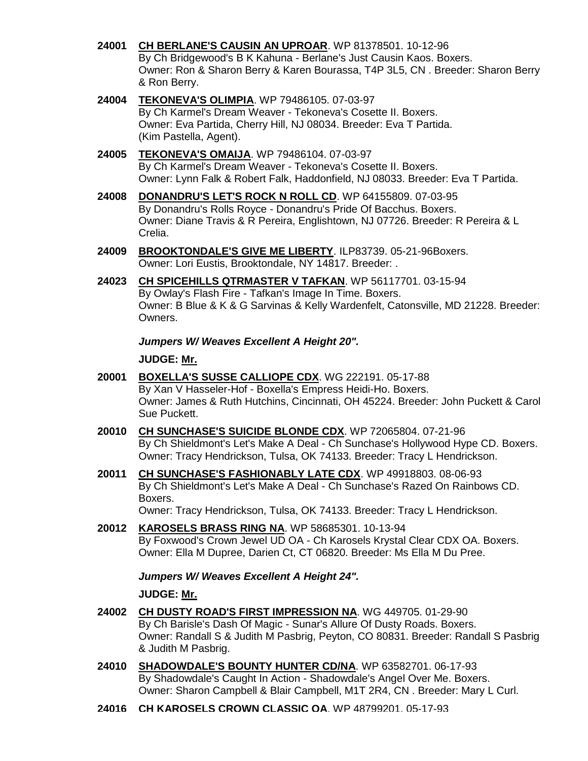- **24001 [CH BERLANE'S CAUSIN AN UPROAR](http://www.infodog.com/my/drlookup2.htm?makc=WP%2081378501&mdog=Ch+Berlane%27s+Causin+An+Uproar&wins=all)**. WP 81378501. 10-12-96 By Ch Bridgewood's B K Kahuna - Berlane's Just Causin Kaos. Boxers. Owner: Ron & Sharon Berry & Karen Bourassa, T4P 3L5, CN . Breeder: Sharon Berry & Ron Berry.
- **24004 [TEKONEVA'S OLIMPIA](http://www.infodog.com/my/drlookup2.htm?makc=WP%2079486105&mdog=Tekoneva%27s+Olimpia&wins=all)**. WP 79486105. 07-03-97 By Ch Karmel's Dream Weaver - Tekoneva's Cosette II. Boxers. Owner: Eva Partida, Cherry Hill, NJ 08034. Breeder: Eva T Partida. (Kim Pastella, Agent).
- **24005 [TEKONEVA'S OMAIJA](http://www.infodog.com/my/drlookup2.htm?makc=WP%2079486104&mdog=Tekoneva%27s+Omaija&wins=all)**. WP 79486104. 07-03-97 By Ch Karmel's Dream Weaver - Tekoneva's Cosette II. Boxers. Owner: Lynn Falk & Robert Falk, Haddonfield, NJ 08033. Breeder: Eva T Partida.
- **24008 [DONANDRU'S LET'S ROCK N ROLL CD](http://www.infodog.com/my/drlookup2.htm?makc=WP%2064155809&mdog=Donandru%27s+Let%27s+Rock+N+Roll+CD&wins=all)**. WP 64155809. 07-03-95 By Donandru's Rolls Royce - Donandru's Pride Of Bacchus. Boxers. Owner: Diane Travis & R Pereira, Englishtown, NJ 07726. Breeder: R Pereira & L Crelia.
- **24009 [BROOKTONDALE'S GIVE ME LIBERTY](http://www.infodog.com/my/drlookup2.htm?makc=ILP83739&mdog=Brooktondale%27s+Give+Me+Liberty&wins=all)**. ILP83739. 05-21-96Boxers. Owner: Lori Eustis, Brooktondale, NY 14817. Breeder: .
- **24023 [CH SPICEHILLS QTRMASTER V TAFKAN](http://www.infodog.com/my/drlookup2.htm?makc=WP%2056117701&mdog=Ch+Spicehills+Qtrmaster+V+Tafkan&wins=all)**. WP 56117701. 03-15-94 By Owlay's Flash Fire - Tafkan's Image In Time. Boxers. Owner: B Blue & K & G Sarvinas & Kelly Wardenfelt, Catonsville, MD 21228. Breeder: Owners.

# *Jumpers W/ Weaves Excellent A Height 20".*

#### **JUDGE: [Mr.](http://www.infodog.com/show/judge/jdgprofile.htm?jn=)**

- **20001 [BOXELLA'S SUSSE CALLIOPE CDX](http://www.infodog.com/my/drlookup2.htm?makc=WG%20222191&mdog=Boxella%27s+Susse+Calliope+CDX&wins=all)**. WG 222191. 05-17-88 By Xan V Hasseler-Hof - Boxella's Empress Heidi-Ho. Boxers. Owner: James & Ruth Hutchins, Cincinnati, OH 45224. Breeder: John Puckett & Carol Sue Puckett.
- **20010 [CH SUNCHASE'S SUICIDE BLONDE CDX](http://www.infodog.com/my/drlookup2.htm?makc=WP%2072065804&mdog=Ch+Sunchase%27s+Suicide+Blonde+CDX&wins=all)**. WP 72065804. 07-21-96 By Ch Shieldmont's Let's Make A Deal - Ch Sunchase's Hollywood Hype CD. Boxers. Owner: Tracy Hendrickson, Tulsa, OK 74133. Breeder: Tracy L Hendrickson.
- **20011 [CH SUNCHASE'S FASHIONABLY LATE CDX](http://www.infodog.com/my/drlookup2.htm?makc=WP%2049918803&mdog=Ch+Sunchase%27s+Fashionably+Late+CDX&wins=all)**. WP 49918803. 08-06-93 By Ch Shieldmont's Let's Make A Deal - Ch Sunchase's Razed On Rainbows CD. Boxers.

Owner: Tracy Hendrickson, Tulsa, OK 74133. Breeder: Tracy L Hendrickson.

**20012 [KAROSELS BRASS RING NA](http://www.infodog.com/my/drlookup2.htm?makc=WP%2058685301&mdog=Karosels+Brass+Ring+NA&wins=all)**. WP 58685301. 10-13-94 By Foxwood's Crown Jewel UD OA - Ch Karosels Krystal Clear CDX OA. Boxers. Owner: Ella M Dupree, Darien Ct, CT 06820. Breeder: Ms Ella M Du Pree.

# *Jumpers W/ Weaves Excellent A Height 24".*

- **24002 [CH DUSTY ROAD'S FIRST IMPRESSION NA](http://www.infodog.com/my/drlookup2.htm?makc=WG%20449705&mdog=Ch+Dusty+Road%27s+First+Impression+NA&wins=all)**. WG 449705. 01-29-90 By Ch Barisle's Dash Of Magic - Sunar's Allure Of Dusty Roads. Boxers. Owner: Randall S & Judith M Pasbrig, Peyton, CO 80831. Breeder: Randall S Pasbrig & Judith M Pasbrig.
- **24010 [SHADOWDALE'S BOUNTY HUNTER CD/NA](http://www.infodog.com/my/drlookup2.htm?makc=WP%2063582701&mdog=Shadowdale%27s+Bounty+Hunter+CD/NA&wins=all)**. WP 63582701. 06-17-93 By Shadowdale's Caught In Action - Shadowdale's Angel Over Me. Boxers. Owner: Sharon Campbell & Blair Campbell, M1T 2R4, CN . Breeder: Mary L Curl.
- **24016 [CH KAROSELS CROWN CLASSIC OA](http://www.infodog.com/my/drlookup2.htm?makc=WP%2048799201&mdog=Ch+Karosels+Crown+Classic+OA&wins=all)**. WP 48799201. 05-17-93